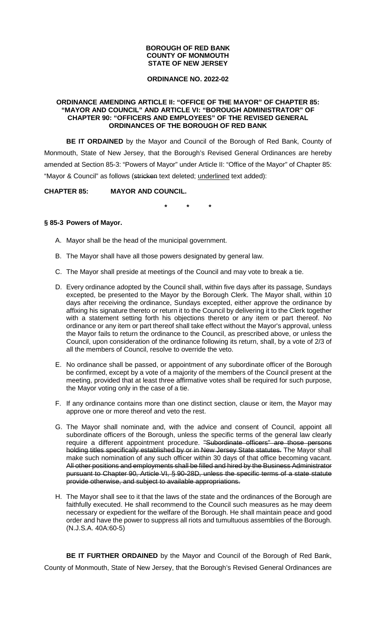### **BOROUGH OF RED BANK COUNTY OF MONMOUTH STATE OF NEW JERSEY**

### **ORDINANCE NO. 2022-02**

### **ORDINANCE AMENDING ARTICLE II: "OFFICE OF THE MAYOR" OF CHAPTER 85: "MAYOR AND COUNCIL" AND ARTICLE VI: "BOROUGH ADMINISTRATOR" OF CHAPTER 90: "OFFICERS AND EMPLOYEES" OF THE REVISED GENERAL ORDINANCES OF THE BOROUGH OF RED BANK**

**BE IT ORDAINED** by the Mayor and Council of the Borough of Red Bank, County of Monmouth, State of New Jersey, that the Borough's Revised General Ordinances are hereby amended at Section 85-3: "Powers of Mayor" under Article II: "Office of the Mayor" of Chapter 85: "Mayor & Council" as follows (stricken text deleted; underlined text added):

# **CHAPTER 85: MAYOR AND COUNCIL.**

**\* \* \*** 

## **§ 85-3 Powers of Mayor.**

- A. Mayor shall be the head of the municipal government.
- B. The Mayor shall have all those powers designated by general law.
- C. The Mayor shall preside at meetings of the Council and may vote to break a tie.
- D. Every ordinance adopted by the Council shall, within five days after its passage, Sundays excepted, be presented to the Mayor by the Borough Clerk. The Mayor shall, within 10 days after receiving the ordinance, Sundays excepted, either approve the ordinance by affixing his signature thereto or return it to the Council by delivering it to the Clerk together with a statement setting forth his objections thereto or any item or part thereof. No ordinance or any item or part thereof shall take effect without the Mayor's approval, unless the Mayor fails to return the ordinance to the Council, as prescribed above, or unless the Council, upon consideration of the ordinance following its return, shall, by a vote of 2/3 of all the members of Council, resolve to override the veto.
- E. No ordinance shall be passed, or appointment of any subordinate officer of the Borough be confirmed, except by a vote of a majority of the members of the Council present at the meeting, provided that at least three affirmative votes shall be required for such purpose, the Mayor voting only in the case of a tie.
- F. If any ordinance contains more than one distinct section, clause or item, the Mayor may approve one or more thereof and veto the rest.
- G. The Mayor shall nominate and, with the advice and consent of Council, appoint all subordinate officers of the Borough, unless the specific terms of the general law clearly require a different appointment procedure. "Subordinate officers" are those persons holding titles specifically established by or in New Jersey State statutes. The Mayor shall make such nomination of any such officer within 30 days of that office becoming vacant. All other positions and employments shall be filled and hired by the Business Administrator pursuant to Chapter 90, Article VI, § 90-28D, unless the specific terms of a state statute provide otherwise, and subject to available appropriations.
- H. The Mayor shall see to it that the laws of the state and the ordinances of the Borough are faithfully executed. He shall recommend to the Council such measures as he may deem necessary or expedient for the welfare of the Borough. He shall maintain peace and good order and have the power to suppress all riots and tumultuous assemblies of the Borough. (N.J.S.A. 40A:60-5)

 **BE IT FURTHER ORDAINED** by the Mayor and Council of the Borough of Red Bank, County of Monmouth, State of New Jersey, that the Borough's Revised General Ordinances are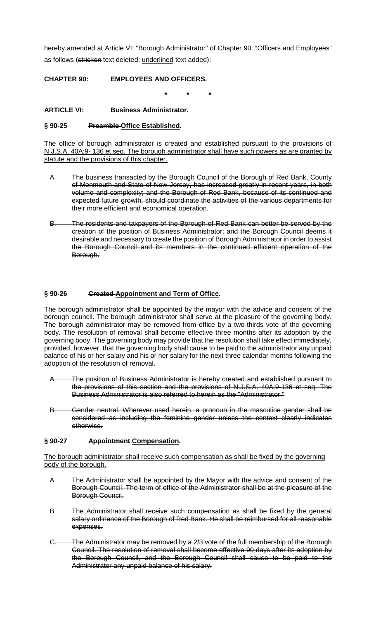hereby amended at Article VI: "Borough Administrator" of Chapter 90: "Officers and Employees" as follows (stricken text deleted; underlined text added):

**CHAPTER 90: EMPLOYEES AND OFFICERS.** 

**\* \* \*** 

**ARTICLE VI: Business Administrator.** 

## **§ 90-25 Preamble Office Established.**

The office of borough administrator is created and established pursuant to the provisions of N.J.S.A. 40A:9- 136 et seq. The borough administrator shall have such powers as are granted by statute and the provisions of this chapter.

- The business transacted by the Borough Council of the Borough of Red Bank, County of Monmouth and State of New Jersey, has increased greatly in recent years, in both volume and complexity; and the Borough of Red Bank, because of its continued and expected future growth, should coordinate the activities of the various departments for their more efficient and economical operation.
- B. The residents and taxpayers of the Borough of Red Bank can better be served by the creation of the position of Business Administrator; and the Borough Council deems it desirable and necessary to create the position of Borough Administrator in order to assist the Borough Council and its members in the continued efficient operation of the Borough.

## **§ 90-26 Created Appointment and Term of Office.**

The borough administrator shall be appointed by the mayor with the advice and consent of the borough council. The borough administrator shall serve at the pleasure of the governing body. The borough administrator may be removed from office by a two-thirds vote of the governing body. The resolution of removal shall become effective three months after its adoption by the governing body. The governing body may provide that the resolution shall take effect immediately, provided, however, that the governing body shall cause to be paid to the administrator any unpaid balance of his or her salary and his or her salary for the next three calendar months following the adoption of the resolution of removal.

- The position of Business Administrator is hereby created and established pursuant to the provisions of this section and the provisions of N.J.S.A. 40A:9-136 et seq. The Business Administrator is also referred to herein as the "Administrator."
- Gender neutral. Wherever used herein, a pronoun in the masculine gender shall be considered as including the feminine gender unless the context clearly indicates otherwise.

## **§ 90-27 Appointment Compensation.**

The borough administrator shall receive such compensation as shall be fixed by the governing body of the borough.

- A. The Administrator shall be appointed by the Mayor with the advice and consent of the Borough Council. The term of office of the Administrator shall be at the pleasure of the Borough Council.
- B. The Administrator shall receive such compensation as shall be fixed by the general salary ordinance of the Borough of Red Bank. He shall be reimbursed for all reasonable expenses.
- C. The Administrator may be removed by a 2/3 vote of the full membership of the Borough Council. The resolution of removal shall become effective 90 days after its adoption by the Borough Council, and the Borough Council shall cause to be paid to the Administrator any unpaid balance of his salary.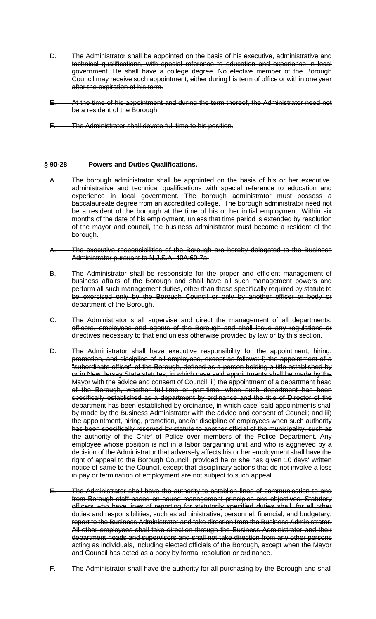- D. The Administrator shall be appointed on the basis of his executive, administrative and technical qualifications, with special reference to education and experience in local government. He shall have a college degree. No elective member of the Borough Council may receive such appointment, either during his term of office or within one year after the expiration of his term.
- E. At the time of his appointment and during the term thereof, the Administrator need not be a resident of the Borough.
- The Administrator shall devote full time to his position.

### **§ 90-28 Powers and Duties Qualifications.**

- A. The borough administrator shall be appointed on the basis of his or her executive, administrative and technical qualifications with special reference to education and experience in local government. The borough administrator must possess a baccalaureate degree from an accredited college. The borough administrator need not be a resident of the borough at the time of his or her initial employment. Within six months of the date of his employment, unless that time period is extended by resolution of the mayor and council, the business administrator must become a resident of the borough.
- The executive responsibilities of the Borough are hereby delegated to the Business Administrator pursuant to N.J.S.A. 40A:60-7a.
- B. The Administrator shall be responsible for the proper and efficient management of business affairs of the Borough and shall have all such management powers and perform all such management duties, other than those specifically required by statute to be exercised only by the Borough Council or only by another officer or body or department of the Borough.
- C. The Administrator shall supervise and direct the management of all departments, officers, employees and agents of the Borough and shall issue any regulations or directives necessary to that end unless otherwise provided by law or by this section.
- D. The Administrator shall have executive responsibility for the appointment, hiring, promotion, and discipline of all employees, except as follows: i) the appointment of a "subordinate officer" of the Borough, defined as a person holding a title established by or in New Jersey State statutes, in which case said appointments shall be made by the Mayor with the advice and consent of Council; ii) the appointment of a department head of the Borough, whether full-time or part-time, when such department has been specifically established as a department by ordinance and the title of Director of the department has been established by ordinance, in which case, said appointments shall by made by the Business Administrator with the advice and consent of Council; and iii) the appointment, hiring, promotion, and/or discipline of employees when such authority has been specifically reserved by statute to another official of the municipality, such as the authority of the Chief of Police over members of the Police Department. Any employee whose position is not in a labor bargaining unit and who is aggrieved by a decision of the Administrator that adversely affects his or her employment shall have the right of appeal to the Borough Council, provided he or she has given 10 days' written notice of same to the Council, except that disciplinary actions that do not involve a loss in pay or termination of employment are not subject to such appeal.
- E. The Administrator shall have the authority to establish lines of communication to and from Borough staff based on sound management principles and objectives. Statutory officers who have lines of reporting for statutorily specified duties shall, for all other duties and responsibilities, such as administrative, personnel, financial, and budgetary, report to the Business Administrator and take direction from the Business Administrator. All other employees shall take direction through the Business Administrator and their department heads and supervisors and shall not take direction from any other persons acting as individuals, including elected officials of the Borough, except when the Mayor and Council has acted as a body by formal resolution or ordinance.
	- The Administrator shall have the authority for all purchasing by the Borough and shall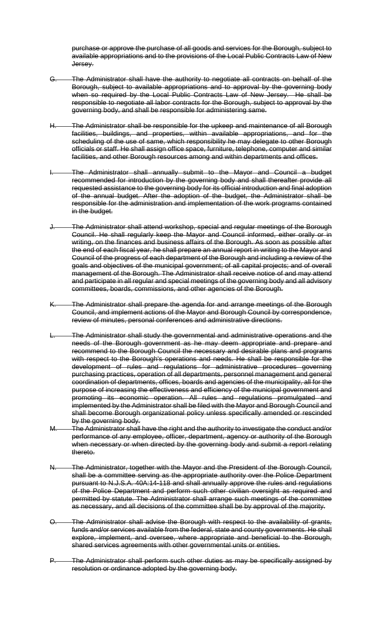purchase or approve the purchase of all goods and services for the Borough, subject to available appropriations and to the provisions of the Local Public Contracts Law of New Jersey.

- G. The Administrator shall have the authority to negotiate all contracts on behalf of the Borough, subject to available appropriations and to approval by the governing body when so required by the Local Public Contracts Law of New Jersey. He shall be responsible to negotiate all labor contracts for the Borough, subject to approval by the governing body, and shall be responsible for administering same.
- The Administrator shall be responsible for the upkeep and maintenance of all Borough facilities, buildings, and properties, within available appropriations, and for the scheduling of the use of same, which responsibility he may delegate to other Borough officials or staff. He shall assign office space, furniture, telephone, computer and similar facilities, and other Borough resources among and within departments and offices.
- The Administrator shall annually submit to the Mayor and Council a budget recommended for introduction by the governing body and shall thereafter provide all requested assistance to the governing body for its official introduction and final adoption of the annual budget. After the adoption of the budget, the Administrator shall be responsible for the administration and implementation of the work programs contained in the budget.
- The Administrator shall attend workshop, special and regular meetings of the Borough Council. He shall regularly keep the Mayor and Council informed, either orally or in writing, on the finances and business affairs of the Borough. As soon as possible after the end of each fiscal year, he shall prepare an annual report in writing to the Mayor and Council of the progress of each department of the Borough and including a review of the goals and objectives of the municipal government; of all capital projects; and of overall management of the Borough. The Administrator shall receive notice of and may attend and participate in all regular and special meetings of the governing body and all advisory committees, boards, commissions, and other agencies of the Borough.
- The Administrator shall prepare the agenda for and arrange meetings of the Borough Council, and implement actions of the Mayor and Borough Council by correspondence, review of minutes, personal conferences and administrative directions.
- The Administrator shall study the governmental and administrative operations and the needs of the Borough government as he may deem appropriate and prepare and recommend to the Borough Council the necessary and desirable plans and programs with respect to the Borough's operations and needs. He shall be responsible for the development of rules and regulations for administrative procedures governing purchasing practices, operation of all departments, personnel management and general coordination of departments, offices, boards and agencies of the municipality, all for the purpose of increasing the effectiveness and efficiency of the municipal government and promoting its economic operation. All rules and regulations promulgated and implemented by the Administrator shall be filed with the Mayor and Borough Council and shall become Borough organizational policy unless specifically amended or rescinded by the governing body.
- M. The Administrator shall have the right and the authority to investigate the conduct and/or performance of any employee, officer, department, agency or authority of the Borough when necessary or when directed by the governing body and submit a report relating thereto.
- N. The Administrator, together with the Mayor and the President of the Borough Council, shall be a committee serving as the appropriate authority over the Police Department pursuant to N.J.S.A. 40A:14-118 and shall annually approve the rules and regulations of the Police Department and perform such other civilian oversight as required and permitted by statute. The Administrator shall arrange such meetings of the committee as necessary, and all decisions of the committee shall be by approval of the majority.
- O. The Administrator shall advise the Borough with respect to the availability of grants, funds and/or services available from the federal, state and county governments. He shall explore, implement, and oversee, where appropriate and beneficial to the Borough, shared services agreements with other governmental units or entities.
- P. The Administrator shall perform such other duties as may be specifically assigned by resolution or ordinance adopted by the governing body.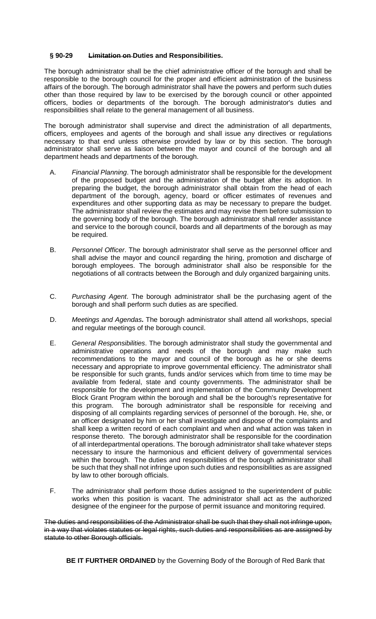## **§ 90-29 Limitation on Duties and Responsibilities.**

The borough administrator shall be the chief administrative officer of the borough and shall be responsible to the borough council for the proper and efficient administration of the business affairs of the borough. The borough administrator shall have the powers and perform such duties other than those required by law to be exercised by the borough council or other appointed officers, bodies or departments of the borough. The borough administrator's duties and responsibilities shall relate to the general management of all business.

The borough administrator shall supervise and direct the administration of all departments, officers, employees and agents of the borough and shall issue any directives or regulations necessary to that end unless otherwise provided by law or by this section. The borough administrator shall serve as liaison between the mayor and council of the borough and all department heads and departments of the borough.

- A. Financial Planning. The borough administrator shall be responsible for the development of the proposed budget and the administration of the budget after its adoption. In preparing the budget, the borough administrator shall obtain from the head of each department of the borough, agency, board or officer estimates of revenues and expenditures and other supporting data as may be necessary to prepare the budget. The administrator shall review the estimates and may revise them before submission to the governing body of the borough. The borough administrator shall render assistance and service to the borough council, boards and all departments of the borough as may be required.
- B. Personnel Officer. The borough administrator shall serve as the personnel officer and shall advise the mayor and council regarding the hiring, promotion and discharge of borough employees. The borough administrator shall also be responsible for the negotiations of all contracts between the Borough and duly organized bargaining units.
- C. Purchasing Agent. The borough administrator shall be the purchasing agent of the borough and shall perform such duties as are specified.
- D. Meetings and Agendas**.** The borough administrator shall attend all workshops, special and regular meetings of the borough council.
- E. General Responsibilities. The borough administrator shall study the governmental and administrative operations and needs of the borough and may make such recommendations to the mayor and council of the borough as he or she deems necessary and appropriate to improve governmental efficiency. The administrator shall be responsible for such grants, funds and/or services which from time to time may be available from federal, state and county governments. The administrator shall be responsible for the development and implementation of the Community Development Block Grant Program within the borough and shall be the borough's representative for this program. The borough administrator shall be responsible for receiving and disposing of all complaints regarding services of personnel of the borough. He, she, or an officer designated by him or her shall investigate and dispose of the complaints and shall keep a written record of each complaint and when and what action was taken in response thereto. The borough administrator shall be responsible for the coordination of all interdepartmental operations. The borough administrator shall take whatever steps necessary to insure the harmonious and efficient delivery of governmental services within the borough. The duties and responsibilities of the borough administrator shall be such that they shall not infringe upon such duties and responsibilities as are assigned by law to other borough officials.
- F. The administrator shall perform those duties assigned to the superintendent of public works when this position is vacant. The administrator shall act as the authorized designee of the engineer for the purpose of permit issuance and monitoring required.

The duties and responsibilities of the Administrator shall be such that they shall not infringe upon, in a way that violates statutes or legal rights, such duties and responsibilities as are assigned by statute to other Borough officials.

 **BE IT FURTHER ORDAINED** by the Governing Body of the Borough of Red Bank that